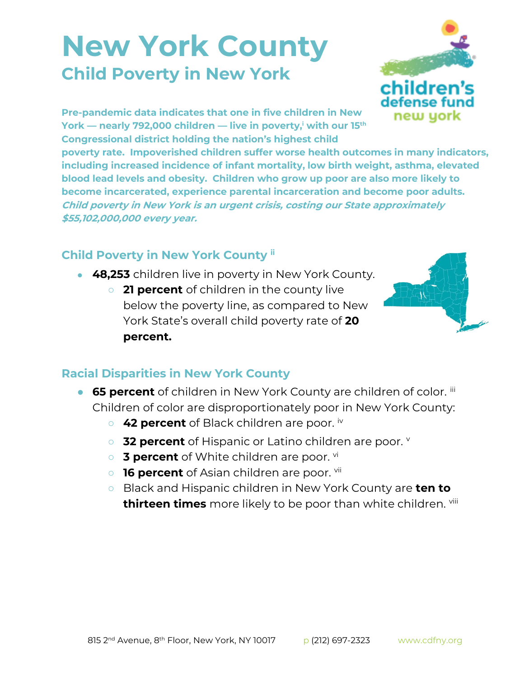## **New York County Child Poverty in New York**



**Pre-pandemic data indicates that one in five children in New York — nearly 792,000 children — live in poverty,<sup>i</sup> with our 15th Congressional district holding the nation's highest child** 

**poverty rate. Impoverished children suffer worse health outcomes in many indicators, including increased incidence of infant mortality, low birth weight, asthma, elevated blood lead levels and obesity. Children who grow up poor are also more likely to become incarcerated, experience parental incarceration and become poor adults. Child poverty in New York is an urgent crisis, costing our State approximately \$55,102,000,000 every year.**

## **Child Poverty in New York County ii**

- **48,253** children live in poverty in New York County.
	- **21 percent** of children in the county live below the poverty line, as compared to New York State's overall child poverty rate of **20 percent.**



## **Racial Disparities in New York County**

- **65 percent** of children in New York County are children of color. iii Children of color are disproportionately poor in New York County:
	- 42 percent of Black children are poor. iv
	- **32 percent** of Hispanic or Latino children are poor.
	- **3 percent** of White children are poor. <sup>vi</sup>
	- **16 percent** of Asian children are poor. <sup>vii</sup>
	- Black and Hispanic children in New York County are **ten to thirteen times** more likely to be poor than white children. viii